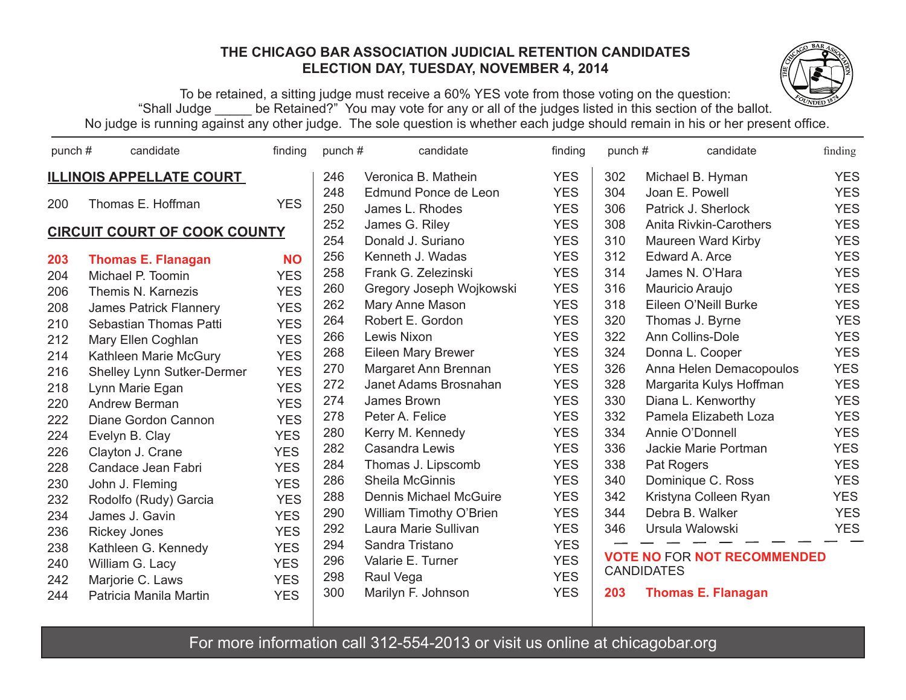## **THE CHICAGO BAR ASSOCIATION JUDICIAL RETENTION CANDIDATES ELECTION DAY, TUESDAY, NOVEMBER 4, 2014**



To be retained, a sitting judge must receive a 60% YES vote from those voting on the question: "Shall Judge \_\_\_\_\_ be Retained?" You may vote for any or all of the judges listed in this section of the ballot. No judge is running against any other judge. The sole question is whether each judge should remain in his or her present office.

| punch#                              | candidate                     | finding    | punch# | candidate                     | finding    | punch# | candidate                          | finding    |
|-------------------------------------|-------------------------------|------------|--------|-------------------------------|------------|--------|------------------------------------|------------|
| <b>ILLINOIS APPELLATE COURT</b>     |                               |            |        | Veronica B. Mathein           | <b>YES</b> | 302    | Michael B. Hyman                   | <b>YES</b> |
|                                     |                               |            | 248    | Edmund Ponce de Leon          | <b>YES</b> | 304    | Joan E. Powell                     | <b>YES</b> |
| 200                                 | Thomas E. Hoffman             | <b>YES</b> | 250    | James L. Rhodes               | <b>YES</b> | 306    | Patrick J. Sherlock                | <b>YES</b> |
| <b>CIRCUIT COURT OF COOK COUNTY</b> |                               |            | 252    | James G. Riley                | <b>YES</b> | 308    | <b>Anita Rivkin-Carothers</b>      | <b>YES</b> |
|                                     |                               |            | 254    | Donald J. Suriano             | <b>YES</b> | 310    | Maureen Ward Kirby                 | <b>YES</b> |
| 203                                 | <b>Thomas E. Flanagan</b>     | <b>NO</b>  | 256    | Kenneth J. Wadas              | <b>YES</b> | 312    | Edward A. Arce                     | <b>YES</b> |
| 204                                 | Michael P. Toomin             | <b>YES</b> | 258    | Frank G. Zelezinski           | <b>YES</b> | 314    | James N. O'Hara                    | <b>YES</b> |
| 206                                 | Themis N. Karnezis            | <b>YES</b> | 260    | Gregory Joseph Wojkowski      | <b>YES</b> | 316    | Mauricio Araujo                    | <b>YES</b> |
| 208                                 | <b>James Patrick Flannery</b> | <b>YES</b> | 262    | Mary Anne Mason               | <b>YES</b> | 318    | Eileen O'Neill Burke               | <b>YES</b> |
| 210                                 | Sebastian Thomas Patti        | <b>YES</b> | 264    | Robert E. Gordon              | <b>YES</b> | 320    | Thomas J. Byrne                    | <b>YES</b> |
| 212                                 | Mary Ellen Coghlan            | <b>YES</b> | 266    | Lewis Nixon                   | <b>YES</b> | 322    | Ann Collins-Dole                   | <b>YES</b> |
| 214                                 | Kathleen Marie McGury         | <b>YES</b> | 268    | Eileen Mary Brewer            | <b>YES</b> | 324    | Donna L. Cooper                    | <b>YES</b> |
| 216                                 | Shelley Lynn Sutker-Dermer    | <b>YES</b> | 270    | Margaret Ann Brennan          | <b>YES</b> | 326    | Anna Helen Demacopoulos            | <b>YES</b> |
| 218                                 | Lynn Marie Egan               | <b>YES</b> | 272    | Janet Adams Brosnahan         | <b>YES</b> | 328    | Margarita Kulys Hoffman            | <b>YES</b> |
| 220                                 | Andrew Berman                 | <b>YES</b> | 274    | James Brown                   | <b>YES</b> | 330    | Diana L. Kenworthy                 | <b>YES</b> |
| 222                                 | Diane Gordon Cannon           | <b>YES</b> | 278    | Peter A. Felice               | <b>YES</b> | 332    | Pamela Elizabeth Loza              | <b>YES</b> |
| 224                                 | Evelyn B. Clay                | <b>YES</b> | 280    | Kerry M. Kennedy              | <b>YES</b> | 334    | Annie O'Donnell                    | <b>YES</b> |
| 226                                 | Clayton J. Crane              | <b>YES</b> | 282    | Casandra Lewis                | <b>YES</b> | 336    | Jackie Marie Portman               | <b>YES</b> |
| 228                                 | Candace Jean Fabri            | <b>YES</b> | 284    | Thomas J. Lipscomb            | <b>YES</b> | 338    | Pat Rogers                         | <b>YES</b> |
| 230                                 | John J. Fleming               | <b>YES</b> | 286    | Sheila McGinnis               | <b>YES</b> | 340    | Dominique C. Ross                  | <b>YES</b> |
| 232                                 | Rodolfo (Rudy) Garcia         | <b>YES</b> | 288    | <b>Dennis Michael McGuire</b> | <b>YES</b> | 342    | Kristyna Colleen Ryan              | <b>YES</b> |
| 234                                 | James J. Gavin                | <b>YES</b> | 290    | William Timothy O'Brien       | <b>YES</b> | 344    | Debra B. Walker                    | <b>YES</b> |
| 236                                 | <b>Rickey Jones</b>           | <b>YES</b> | 292    | Laura Marie Sullivan          | <b>YES</b> | 346    | Ursula Walowski                    | <b>YES</b> |
| 238                                 | Kathleen G. Kennedy           | <b>YES</b> | 294    | Sandra Tristano               | <b>YES</b> |        |                                    |            |
| 240                                 | William G. Lacy               | <b>YES</b> | 296    | Valarie E. Turner             | <b>YES</b> |        | <b>VOTE NO FOR NOT RECOMMENDED</b> |            |
| 242                                 | Marjorie C. Laws              | <b>YES</b> | 298    | Raul Vega                     | <b>YES</b> |        | <b>CANDIDATES</b>                  |            |
| 244                                 | Patricia Manila Martin        | <b>YES</b> | 300    | Marilyn F. Johnson            | <b>YES</b> | 203    | <b>Thomas E. Flanagan</b>          |            |
|                                     |                               |            |        |                               |            |        |                                    |            |

For more information call 312-554-2013 or visit us online at chicagobar.org